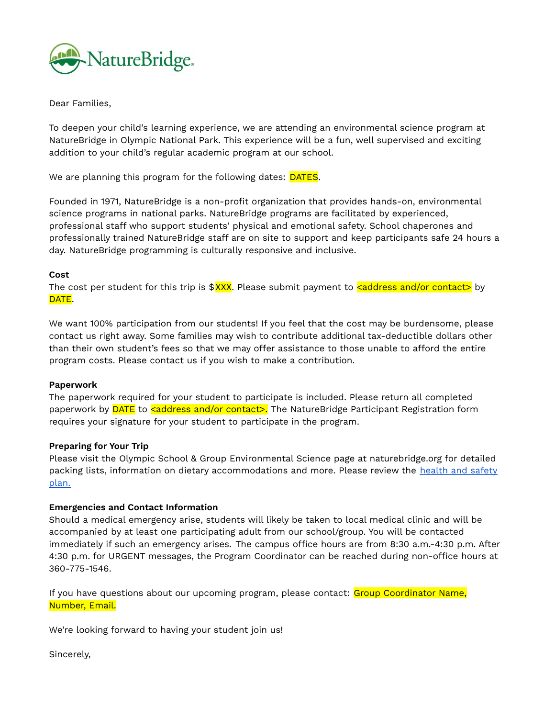

Dear Families,

To deepen your child's learning experience, we are attending an environmental science program at NatureBridge in Olympic National Park. This experience will be a fun, well supervised and exciting addition to your child's regular academic program at our school.

We are planning this program for the following dates: **DATES**.

Founded in 1971, NatureBridge is a non-profit organization that provides hands-on, environmental science programs in national parks. NatureBridge programs are facilitated by experienced, professional staff who support students' physical and emotional safety. School chaperones and professionally trained NatureBridge staff are on site to support and keep participants safe 24 hours a day. NatureBridge programming is culturally responsive and inclusive.

## **Cost**

The cost per student for this trip is  $\frac{8X}{X}$ . Please submit payment to **saddress and/or contact>** by DATE.

We want 100% participation from our students! If you feel that the cost may be burdensome, please contact us right away. Some families may wish to contribute additional tax-deductible dollars other than their own student's fees so that we may offer assistance to those unable to afford the entire program costs. Please contact us if you wish to make a contribution.

## **Paperwork**

The paperwork required for your student to participate is included. Please return all completed paperwork by **DATE** to **<address and/or contact>.** The NatureBridge Participant Registration form requires your signature for your student to participate in the program.

## **Preparing for Your Trip**

Please visit the Olympic School & Group Environmental Science page at naturebridge.org for detailed packing lists, information on dietary accommodations and more. Please review the [health](https://docs.google.com/document/d/14C-adOg9QUz4BHDrA91LcuVX1W-zRE2gtG4SMj8FH1g/edit?usp=sharing) and safety [plan.](https://docs.google.com/document/d/14C-adOg9QUz4BHDrA91LcuVX1W-zRE2gtG4SMj8FH1g/edit?usp=sharing)

## **Emergencies and Contact Information**

Should a medical emergency arise, students will likely be taken to local medical clinic and will be accompanied by at least one participating adult from our school/group. You will be contacted immediately if such an emergency arises. The campus office hours are from 8:30 a.m.-4:30 p.m. After 4:30 p.m. for URGENT messages, the Program Coordinator can be reached during non-office hours at 360-775-1546.

If you have questions about our upcoming program, please contact: Group Coordinator Name, Number, Email.

We're looking forward to having your student join us!

Sincerely,